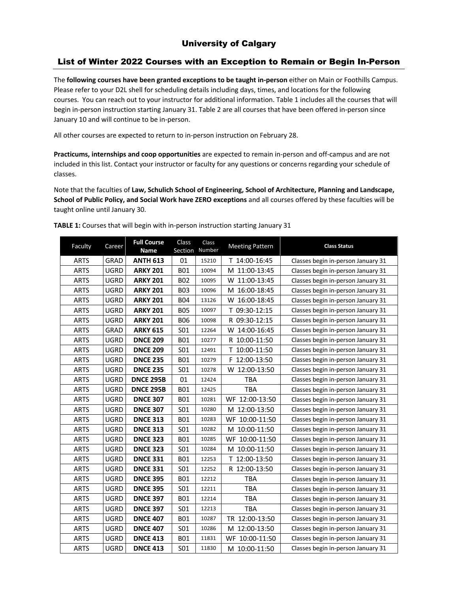## University of Calgary

## List of Winter 2022 Courses with an Exception to Remain or Begin In-Person

The **following courses have been granted exceptions to be taught in-person** either on Main or Foothills Campus. Please refer to your D2L shell for scheduling details including days, times, and locations for the following courses. You can reach out to your instructor for additional information. Table 1 includes all the courses that will begin in-person instruction starting January 31. Table 2 are all courses that have been offered in-person since January 10 and will continue to be in-person.

All other courses are expected to return to in-person instruction on February 28.

**Practicums, internships and coop opportunities** are expected to remain in-person and off-campus and are not included in this list. Contact your instructor or faculty for any questions or concerns regarding your schedule of classes.

Note that the faculties of **Law, Schulich School of Engineering, School of Architecture, Planning and Landscape, School of Public Policy, and Social Work have ZERO exceptions** and all courses offered by these faculties will be taught online until January 30.

| Faculty     | Career      | <b>Full Course</b><br>Name | Class<br>Section | Class<br><b>Number</b> | <b>Meeting Pattern</b> | <b>Class Status</b>                |
|-------------|-------------|----------------------------|------------------|------------------------|------------------------|------------------------------------|
| <b>ARTS</b> | <b>GRAD</b> | <b>ANTH 613</b>            | 01               | 15210                  | T 14:00-16:45          | Classes begin in-person January 31 |
| <b>ARTS</b> | <b>UGRD</b> | <b>ARKY 201</b>            | <b>B01</b>       | 10094                  | M 11:00-13:45          | Classes begin in-person January 31 |
| <b>ARTS</b> | <b>UGRD</b> | <b>ARKY 201</b>            | <b>B02</b>       | 10095                  | W 11:00-13:45          | Classes begin in-person January 31 |
| <b>ARTS</b> | <b>UGRD</b> | <b>ARKY 201</b>            | <b>B03</b>       | 10096                  | M 16:00-18:45          | Classes begin in-person January 31 |
| <b>ARTS</b> | <b>UGRD</b> | <b>ARKY 201</b>            | <b>B04</b>       | 13126                  | W 16:00-18:45          | Classes begin in-person January 31 |
| <b>ARTS</b> | <b>UGRD</b> | <b>ARKY 201</b>            | <b>B05</b>       | 10097                  | T 09:30-12:15          | Classes begin in-person January 31 |
| <b>ARTS</b> | <b>UGRD</b> | <b>ARKY 201</b>            | <b>B06</b>       | 10098                  | R 09:30-12:15          | Classes begin in-person January 31 |
| <b>ARTS</b> | <b>GRAD</b> | <b>ARKY 615</b>            | S01              | 12264                  | W 14:00-16:45          | Classes begin in-person January 31 |
| <b>ARTS</b> | <b>UGRD</b> | <b>DNCE 209</b>            | <b>B01</b>       | 10277                  | R 10:00-11:50          | Classes begin in-person January 31 |
| <b>ARTS</b> | <b>UGRD</b> | <b>DNCE 209</b>            | S01              | 12491                  | T 10:00-11:50          | Classes begin in-person January 31 |
| <b>ARTS</b> | <b>UGRD</b> | <b>DNCE 235</b>            | <b>B01</b>       | 10279                  | F 12:00-13:50          | Classes begin in-person January 31 |
| <b>ARTS</b> | <b>UGRD</b> | <b>DNCE 235</b>            | S01              | 10278                  | W 12:00-13:50          | Classes begin in-person January 31 |
| <b>ARTS</b> | <b>UGRD</b> | <b>DNCE 295B</b>           | 01               | 12424                  | <b>TBA</b>             | Classes begin in-person January 31 |
| <b>ARTS</b> | <b>UGRD</b> | <b>DNCE 295B</b>           | <b>B01</b>       | 12425                  | <b>TBA</b>             | Classes begin in-person January 31 |
| <b>ARTS</b> | <b>UGRD</b> | <b>DNCE 307</b>            | <b>B01</b>       | 10281                  | WF 12:00-13:50         | Classes begin in-person January 31 |
| <b>ARTS</b> | <b>UGRD</b> | <b>DNCE 307</b>            | S <sub>01</sub>  | 10280                  | M 12:00-13:50          | Classes begin in-person January 31 |
| <b>ARTS</b> | <b>UGRD</b> | <b>DNCE 313</b>            | <b>B01</b>       | 10283                  | WF 10:00-11:50         | Classes begin in-person January 31 |
| <b>ARTS</b> | <b>UGRD</b> | <b>DNCE 313</b>            | <b>SO1</b>       | 10282                  | M 10:00-11:50          | Classes begin in-person January 31 |
| <b>ARTS</b> | <b>UGRD</b> | <b>DNCE 323</b>            | <b>B01</b>       | 10285                  | WF 10:00-11:50         | Classes begin in-person January 31 |
| <b>ARTS</b> | <b>UGRD</b> | <b>DNCE 323</b>            | S01              | 10284                  | M 10:00-11:50          | Classes begin in-person January 31 |
| <b>ARTS</b> | <b>UGRD</b> | <b>DNCE 331</b>            | <b>B01</b>       | 12253                  | T 12:00-13:50          | Classes begin in-person January 31 |
| <b>ARTS</b> | <b>UGRD</b> | <b>DNCE 331</b>            | S <sub>01</sub>  | 12252                  | R 12:00-13:50          | Classes begin in-person January 31 |
| <b>ARTS</b> | <b>UGRD</b> | <b>DNCE 395</b>            | <b>B01</b>       | 12212                  | <b>TBA</b>             | Classes begin in-person January 31 |
| <b>ARTS</b> | <b>UGRD</b> | <b>DNCE 395</b>            | S01              | 12211                  | <b>TBA</b>             | Classes begin in-person January 31 |
| <b>ARTS</b> | <b>UGRD</b> | <b>DNCE 397</b>            | <b>B01</b>       | 12214                  | TBA                    | Classes begin in-person January 31 |
| <b>ARTS</b> | <b>UGRD</b> | <b>DNCE 397</b>            | S <sub>01</sub>  | 12213                  | <b>TBA</b>             | Classes begin in-person January 31 |
| <b>ARTS</b> | <b>UGRD</b> | <b>DNCE 407</b>            | <b>B01</b>       | 10287                  | TR 12:00-13:50         | Classes begin in-person January 31 |
| <b>ARTS</b> | <b>UGRD</b> | <b>DNCE 407</b>            | S01              | 10286                  | M 12:00-13:50          | Classes begin in-person January 31 |
| <b>ARTS</b> | <b>UGRD</b> | <b>DNCE 413</b>            | <b>B01</b>       | 11831                  | WF 10:00-11:50         | Classes begin in-person January 31 |
| <b>ARTS</b> | <b>UGRD</b> | <b>DNCE 413</b>            | S01              | 11830                  | M 10:00-11:50          | Classes begin in-person January 31 |

**TABLE 1:** Courses that will begin with in-person instruction starting January 31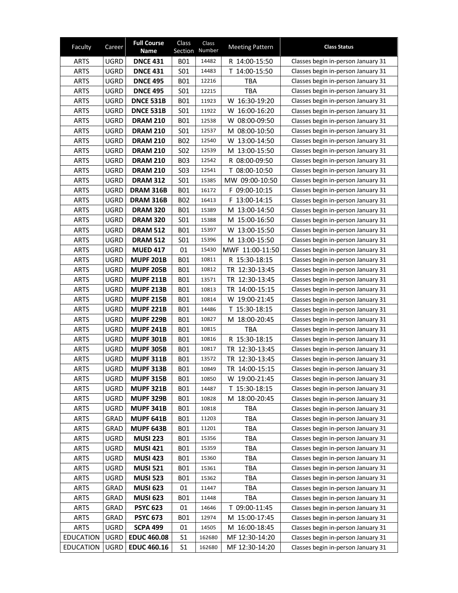| Faculty          | Career      | <b>Full Course</b><br><b>Name</b>     | Class<br>Section     | Class<br>Number | <b>Meeting Pattern</b> | <b>Class Status</b>                |  |
|------------------|-------------|---------------------------------------|----------------------|-----------------|------------------------|------------------------------------|--|
| <b>ARTS</b>      | <b>UGRD</b> | <b>DNCE 431</b>                       | <b>B01</b>           | 14482           | R 14:00-15:50          | Classes begin in-person January 31 |  |
| <b>ARTS</b>      | <b>UGRD</b> | <b>DNCE 431</b>                       | S01                  | 14483           | T 14:00-15:50          | Classes begin in-person January 31 |  |
| <b>ARTS</b>      | <b>UGRD</b> | <b>DNCE 495</b>                       | <b>B01</b>           | 12216           | TBA                    | Classes begin in-person January 31 |  |
| <b>ARTS</b>      | <b>UGRD</b> | <b>DNCE 495</b>                       | S01                  | 12215           | <b>TBA</b>             | Classes begin in-person January 31 |  |
| <b>ARTS</b>      | <b>UGRD</b> | <b>DNCE 531B</b>                      | <b>B01</b>           | 11923           | W 16:30-19:20          | Classes begin in-person January 31 |  |
| <b>ARTS</b>      | <b>UGRD</b> | <b>DNCE 531B</b>                      | <b>SO1</b>           | 11922           | W 16:00-16:20          | Classes begin in-person January 31 |  |
| <b>ARTS</b>      | UGRD        | <b>DRAM 210</b>                       | <b>B01</b>           | 12538           | W 08:00-09:50          | Classes begin in-person January 31 |  |
| <b>ARTS</b>      | <b>UGRD</b> | <b>DRAM 210</b>                       | S01                  | 12537           | M 08:00-10:50          | Classes begin in-person January 31 |  |
| <b>ARTS</b>      | <b>UGRD</b> | <b>DRAM 210</b>                       | <b>B02</b>           | 12540           | 13:00-14:50<br>W       | Classes begin in-person January 31 |  |
| <b>ARTS</b>      | <b>UGRD</b> | <b>DRAM 210</b>                       | <b>SO2</b>           | 12539           | M 13:00-15:50          | Classes begin in-person January 31 |  |
| <b>ARTS</b>      | <b>UGRD</b> | <b>DRAM 210</b>                       | <b>B03</b>           | 12542           | R 08:00-09:50          | Classes begin in-person January 31 |  |
| <b>ARTS</b>      | <b>UGRD</b> | <b>DRAM 210</b>                       | <b>SO3</b>           | 12541           | T 08:00-10:50          | Classes begin in-person January 31 |  |
| <b>ARTS</b>      | <b>UGRD</b> | <b>DRAM 312</b>                       | S01                  | 15385           | MW 09:00-10:50         | Classes begin in-person January 31 |  |
| <b>ARTS</b>      | <b>UGRD</b> | <b>DRAM 316B</b>                      | <b>B01</b>           | 16172           | F 09:00-10:15          | Classes begin in-person January 31 |  |
| <b>ARTS</b>      | <b>UGRD</b> | <b>DRAM 316B</b>                      | <b>B02</b>           | 16413           | F 13:00-14:15          | Classes begin in-person January 31 |  |
| <b>ARTS</b>      | <b>UGRD</b> | <b>DRAM 320</b>                       | <b>B01</b>           | 15389           | M 13:00-14:50          | Classes begin in-person January 31 |  |
| <b>ARTS</b>      | UGRD        | <b>DRAM 320</b>                       | <b>SO1</b>           | 15388           | M 15:00-16:50          | Classes begin in-person January 31 |  |
| <b>ARTS</b>      | <b>UGRD</b> | <b>DRAM 512</b>                       | <b>B01</b>           | 15397           | W 13:00-15:50          | Classes begin in-person January 31 |  |
| <b>ARTS</b>      | <b>UGRD</b> | <b>DRAM 512</b>                       | S <sub>01</sub>      | 15396           | M 13:00-15:50          | Classes begin in-person January 31 |  |
| <b>ARTS</b>      | <b>UGRD</b> | <b>MUED 417</b>                       | 01                   | 15430           | MWF 11:00-11:50        | Classes begin in-person January 31 |  |
| <b>ARTS</b>      | <b>UGRD</b> | <b>MUPF 201B</b>                      | <b>B01</b>           | 10811           | R 15:30-18:15          | Classes begin in-person January 31 |  |
| <b>ARTS</b>      | <b>UGRD</b> | <b>MUPF 205B</b>                      | <b>B01</b>           | 10812           | TR 12:30-13:45         | Classes begin in-person January 31 |  |
| <b>ARTS</b>      | <b>UGRD</b> | <b>MUPF 211B</b>                      | <b>B01</b>           | 13571           | TR 12:30-13:45         | Classes begin in-person January 31 |  |
| <b>ARTS</b>      | <b>UGRD</b> | <b>MUPF 213B</b>                      | <b>B01</b>           | 10813           | TR 14:00-15:15         | Classes begin in-person January 31 |  |
| <b>ARTS</b>      | <b>UGRD</b> | <b>MUPF 215B</b>                      | <b>B01</b>           | 10814           | W 19:00-21:45          | Classes begin in-person January 31 |  |
| <b>ARTS</b>      | UGRD        | <b>MUPF 221B</b>                      | <b>B01</b>           | 14486           | T 15:30-18:15          | Classes begin in-person January 31 |  |
| <b>ARTS</b>      | <b>UGRD</b> | <b>MUPF 229B</b>                      | <b>B01</b>           | 10827           | M 18:00-20:45          | Classes begin in-person January 31 |  |
| <b>ARTS</b>      | <b>UGRD</b> | <b>MUPF 241B</b>                      | <b>B01</b>           | 10815           | <b>TBA</b>             | Classes begin in-person January 31 |  |
| <b>ARTS</b>      | <b>UGRD</b> | <b>MUPF 301B</b>                      | <b>B01</b>           | 10816           | R 15:30-18:15          | Classes begin in-person January 31 |  |
| <b>ARTS</b>      | <b>UGRD</b> | <b>MUPF 305B</b>                      | <b>B01</b>           | 10817           | TR 12:30-13:45         | Classes begin in-person January 31 |  |
| <b>ARTS</b>      | <b>UGRD</b> | <b>MUPF 311B</b>                      | <b>B01</b>           | 13572           | TR 12:30-13:45         | Classes begin in-person January 31 |  |
| <b>ARTS</b>      | <b>UGRD</b> | <b>MUPF 313B</b>                      | <b>B01</b>           | 10849           | TR 14:00-15:15         | Classes begin in-person January 31 |  |
| <b>ARTS</b>      | <b>UGRD</b> | <b>MUPF 315B</b>                      | <b>B01</b>           | 10850           | W 19:00-21:45          | Classes begin in-person January 31 |  |
| <b>ARTS</b>      | <b>UGRD</b> | <b>MUPF 321B</b>                      | <b>B01</b>           | 14487           | T 15:30-18:15          | Classes begin in-person January 31 |  |
| <b>ARTS</b>      | UGRD        | <b>MUPF 329B</b>                      | <b>B01</b>           | 10828           | M 18:00-20:45          | Classes begin in-person January 31 |  |
| <b>ARTS</b>      | UGRD        | <b>MUPF 341B</b>                      | <b>B01</b>           | 10818           | TBA                    | Classes begin in-person January 31 |  |
| <b>ARTS</b>      | <b>GRAD</b> | <b>MUPF 641B</b>                      | <b>B01</b>           | 11203           | TBA                    | Classes begin in-person January 31 |  |
| <b>ARTS</b>      | <b>GRAD</b> | <b>MUPF 643B</b>                      | <b>B01</b>           | 11201           | <b>TBA</b>             | Classes begin in-person January 31 |  |
| <b>ARTS</b>      | UGRD        | <b>MUSI 223</b>                       | <b>B01</b>           | 15356           | TBA                    | Classes begin in-person January 31 |  |
| <b>ARTS</b>      | UGRD        | <b>MUSI 421</b>                       | <b>B01</b>           | 15359           | TBA                    | Classes begin in-person January 31 |  |
| <b>ARTS</b>      | <b>UGRD</b> | <b>MUSI 423</b>                       | <b>B01</b>           | 15360           | TBA                    | Classes begin in-person January 31 |  |
| <b>ARTS</b>      | <b>UGRD</b> | <b>MUSI 521</b>                       | <b>B01</b>           | 15361           | TBA                    | Classes begin in-person January 31 |  |
| <b>ARTS</b>      | <b>UGRD</b> | <b>MUSI 523</b>                       | <b>B01</b>           | 15362           | <b>TBA</b>             | Classes begin in-person January 31 |  |
| <b>ARTS</b>      | GRAD        | <b>MUSI 623</b>                       | 01                   | 11447           | TBA                    | Classes begin in-person January 31 |  |
| <b>ARTS</b>      | GRAD        | <b>MUSI 623</b>                       | <b>B01</b>           | 11448           | TBA                    | Classes begin in-person January 31 |  |
| <b>ARTS</b>      | GRAD        | <b>PSYC 623</b>                       | 01                   | 14646           | T 09:00-11:45          | Classes begin in-person January 31 |  |
| <b>ARTS</b>      | GRAD        | <b>PSYC 673</b>                       | <b>B01</b>           | 12974           | M 15:00-17:45          | Classes begin in-person January 31 |  |
| <b>ARTS</b>      | <b>UGRD</b> | <b>SCPA 499</b><br><b>EDUC 460.08</b> | 01<br>S <sub>1</sub> | 14505<br>162680 | M 16:00-18:45          | Classes begin in-person January 31 |  |
| <b>EDUCATION</b> | <b>UGRD</b> |                                       |                      |                 | MF 12:30-14:20         | Classes begin in-person January 31 |  |
| <b>EDUCATION</b> | <b>UGRD</b> | <b>EDUC 460.16</b>                    | S1                   | 162680          | MF 12:30-14:20         | Classes begin in-person January 31 |  |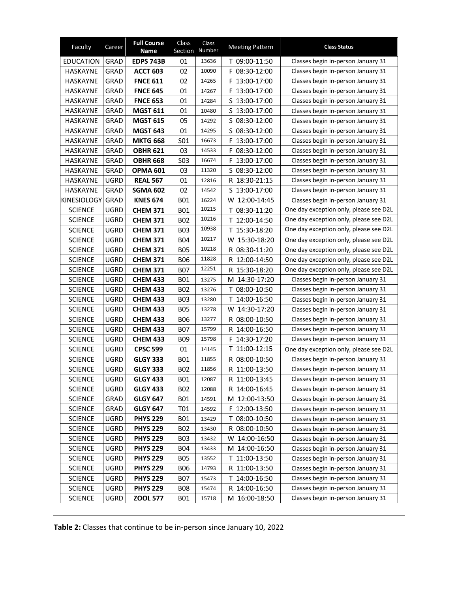| Faculty            | Career      | <b>Full Course</b><br>Name | Class<br>Section | Class<br>Number | <b>Meeting Pattern</b> | <b>Class Status</b>                    |
|--------------------|-------------|----------------------------|------------------|-----------------|------------------------|----------------------------------------|
| <b>EDUCATION</b>   | <b>GRAD</b> | <b>EDPS 743B</b>           | 01               | 13636           | T 09:00-11:50          | Classes begin in-person January 31     |
| <b>HASKAYNE</b>    | <b>GRAD</b> | <b>ACCT 603</b>            | 02               | 10090           | F 08:30-12:00          | Classes begin in-person January 31     |
| <b>HASKAYNE</b>    | <b>GRAD</b> | <b>FNCE 611</b>            | 02               | 14265           | F 13:00-17:00          | Classes begin in-person January 31     |
| HASKAYNE           | <b>GRAD</b> | <b>FNCE 645</b>            | 01               | 14267           | 13:00-17:00<br>F.      | Classes begin in-person January 31     |
| <b>HASKAYNE</b>    | <b>GRAD</b> | <b>FNCE 653</b>            | 01               | 14284           | S 13:00-17:00          | Classes begin in-person January 31     |
| HASKAYNE           | <b>GRAD</b> | <b>MGST 611</b>            | 01               | 10480           | S 13:00-17:00          | Classes begin in-person January 31     |
| <b>HASKAYNE</b>    | <b>GRAD</b> | <b>MGST 615</b>            | 05               | 14292           | S 08:30-12:00          | Classes begin in-person January 31     |
| <b>HASKAYNE</b>    | <b>GRAD</b> | <b>MGST 643</b>            | 01               | 14295           | S 08:30-12:00          | Classes begin in-person January 31     |
| <b>HASKAYNE</b>    | <b>GRAD</b> | <b>MKTG 668</b>            | S01              | 16673           | 13:00-17:00<br>F       | Classes begin in-person January 31     |
| <b>HASKAYNE</b>    | <b>GRAD</b> | <b>OBHR 621</b>            | 03               | 14533           | F 08:30-12:00          | Classes begin in-person January 31     |
| HASKAYNE           | <b>GRAD</b> | <b>OBHR 668</b>            | S03              | 16674           | F 13:00-17:00          | Classes begin in-person January 31     |
| <b>HASKAYNE</b>    | <b>GRAD</b> | <b>OPMA 601</b>            | 03               | 11320           | S 08:30-12:00          | Classes begin in-person January 31     |
| <b>HASKAYNE</b>    | <b>UGRD</b> | <b>REAL 567</b>            | 01               | 12816           | R 18:30-21:15          | Classes begin in-person January 31     |
| <b>HASKAYNE</b>    | <b>GRAD</b> | <b>SGMA 602</b>            | 02               | 14542           | S 13:00-17:00          | Classes begin in-person January 31     |
| <b>KINESIOLOGY</b> | GRAD        | <b>KNES 674</b>            | <b>B01</b>       | 16224           | W 12:00-14:45          | Classes begin in-person January 31     |
| <b>SCIENCE</b>     | <b>UGRD</b> | <b>CHEM 371</b>            | <b>B01</b>       | 10215           | T 08:30-11:20          | One day exception only, please see D2L |
| <b>SCIENCE</b>     | <b>UGRD</b> | <b>CHEM 371</b>            | <b>B02</b>       | 10216           | T 12:00-14:50          | One day exception only, please see D2L |
| <b>SCIENCE</b>     | <b>UGRD</b> | <b>CHEM 371</b>            | <b>B03</b>       | 10938           | T 15:30-18:20          | One day exception only, please see D2L |
| <b>SCIENCE</b>     | <b>UGRD</b> | <b>CHEM 371</b>            | <b>B04</b>       | 10217           | W 15:30-18:20          | One day exception only, please see D2L |
| <b>SCIENCE</b>     | <b>UGRD</b> | <b>CHEM 371</b>            | <b>B05</b>       | 10218           | R 08:30-11:20          | One day exception only, please see D2L |
| <b>SCIENCE</b>     | <b>UGRD</b> | <b>CHEM 371</b>            | <b>B06</b>       | 11828           | R 12:00-14:50          | One day exception only, please see D2L |
| <b>SCIENCE</b>     | <b>UGRD</b> | <b>CHEM 371</b>            | <b>B07</b>       | 12251           | R 15:30-18:20          | One day exception only, please see D2L |
| <b>SCIENCE</b>     | <b>UGRD</b> | <b>CHEM 433</b>            | <b>B01</b>       | 13275           | M 14:30-17:20          | Classes begin in-person January 31     |
| <b>SCIENCE</b>     | <b>UGRD</b> | <b>CHEM 433</b>            | <b>B02</b>       | 13276           | T 08:00-10:50          | Classes begin in-person January 31     |
| <b>SCIENCE</b>     | <b>UGRD</b> | <b>CHEM 433</b>            | <b>B03</b>       | 13280           | T 14:00-16:50          | Classes begin in-person January 31     |
| <b>SCIENCE</b>     | <b>UGRD</b> | <b>CHEM 433</b>            | <b>B05</b>       | 13278           | W 14:30-17:20          | Classes begin in-person January 31     |
| <b>SCIENCE</b>     | <b>UGRD</b> | <b>CHEM 433</b>            | <b>B06</b>       | 13277           | R 08:00-10:50          | Classes begin in-person January 31     |
| <b>SCIENCE</b>     | <b>UGRD</b> | <b>CHEM 433</b>            | <b>B07</b>       | 15799           | R 14:00-16:50          | Classes begin in-person January 31     |
| <b>SCIENCE</b>     | <b>UGRD</b> | <b>CHEM 433</b>            | <b>B09</b>       | 15798           | 14:30-17:20<br>F.      | Classes begin in-person January 31     |
| <b>SCIENCE</b>     | <b>UGRD</b> | <b>CPSC 599</b>            | 01               | 14145           | T 11:00-12:15          | One day exception only, please see D2L |
| <b>SCIENCE</b>     | <b>UGRD</b> | <b>GLGY 333</b>            | <b>B01</b>       | 11855           | R 08:00-10:50          | Classes begin in-person January 31     |
| <b>SCIENCE</b>     | <b>UGRD</b> | <b>GLGY 333</b>            | <b>B02</b>       | 11856           | R 11:00-13:50          | Classes begin in-person January 31     |
| <b>SCIENCE</b>     | <b>UGRD</b> | <b>GLGY 433</b>            | <b>B01</b>       | 12087           | R 11:00-13:45          | Classes begin in-person January 31     |
| <b>SCIENCE</b>     | <b>UGRD</b> | <b>GLGY 433</b>            | <b>B02</b>       | 12088           | R 14:00-16:45          | Classes begin in-person January 31     |
| <b>SCIENCE</b>     | GRAD        | <b>GLGY 647</b>            | <b>B01</b>       | 14591           | M 12:00-13:50          | Classes begin in-person January 31     |
| <b>SCIENCE</b>     | GRAD        | <b>GLGY 647</b>            | T01              | 14592           | F 12:00-13:50          | Classes begin in-person January 31     |
| <b>SCIENCE</b>     | UGRD        | <b>PHYS 229</b>            | B01              | 13429           | T 08:00-10:50          | Classes begin in-person January 31     |
| <b>SCIENCE</b>     | <b>UGRD</b> | <b>PHYS 229</b>            | <b>B02</b>       | 13430           | R 08:00-10:50          | Classes begin in-person January 31     |
| <b>SCIENCE</b>     | <b>UGRD</b> | <b>PHYS 229</b>            | <b>B03</b>       | 13432           | W 14:00-16:50          | Classes begin in-person January 31     |
| <b>SCIENCE</b>     | <b>UGRD</b> | <b>PHYS 229</b>            | B04              | 13433           | M 14:00-16:50          | Classes begin in-person January 31     |
| <b>SCIENCE</b>     | <b>UGRD</b> | <b>PHYS 229</b>            | <b>B05</b>       | 13552           | T 11:00-13:50          | Classes begin in-person January 31     |
| <b>SCIENCE</b>     | <b>UGRD</b> | <b>PHYS 229</b>            | <b>B06</b>       | 14793           | R 11:00-13:50          | Classes begin in-person January 31     |
| <b>SCIENCE</b>     | <b>UGRD</b> | <b>PHYS 229</b>            | <b>B07</b>       | 15473           | T 14:00-16:50          | Classes begin in-person January 31     |
| <b>SCIENCE</b>     | <b>UGRD</b> | <b>PHYS 229</b>            | <b>B08</b>       | 15474           | R 14:00-16:50          | Classes begin in-person January 31     |
| <b>SCIENCE</b>     | <b>UGRD</b> | ZOOL 577                   | B01              | 15718           | M 16:00-18:50          | Classes begin in-person January 31     |

**Table 2:** Classes that continue to be in-person since January 10, 2022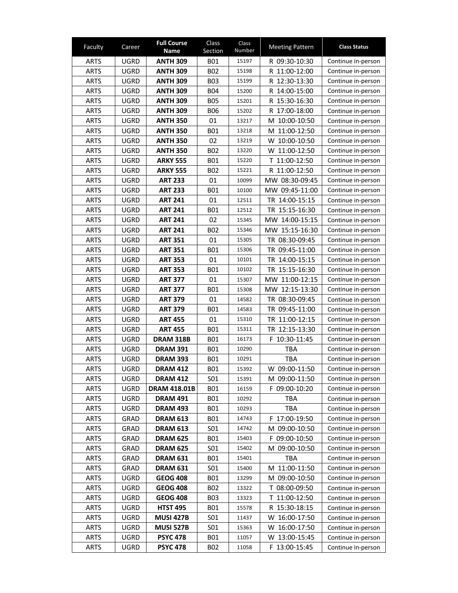| Faculty     | Career      | <b>Full Course</b><br>Name | Class<br>Section | Class<br>Number | <b>Meeting Pattern</b> | <b>Class Status</b> |
|-------------|-------------|----------------------------|------------------|-----------------|------------------------|---------------------|
| <b>ARTS</b> | UGRD        | <b>ANTH 309</b>            | <b>B01</b>       | 15197           | R 09:30-10:30          | Continue in-person  |
| <b>ARTS</b> | UGRD        | <b>ANTH 309</b>            | <b>B02</b>       | 15198           | R 11:00-12:00          | Continue in-person  |
| <b>ARTS</b> | <b>UGRD</b> | <b>ANTH 309</b>            | <b>B03</b>       | 15199           | R 12:30-13:30          | Continue in-person  |
| <b>ARTS</b> | <b>UGRD</b> | <b>ANTH 309</b>            | <b>B04</b>       | 15200           | R 14:00-15:00          | Continue in-person  |
| <b>ARTS</b> | <b>UGRD</b> | <b>ANTH 309</b>            | <b>B05</b>       | 15201           | R 15:30-16:30          | Continue in-person  |
| <b>ARTS</b> | UGRD        | <b>ANTH 309</b>            | <b>B06</b>       | 15202           | R 17:00-18:00          | Continue in-person  |
| <b>ARTS</b> | UGRD        | <b>ANTH 350</b>            | 01               | 13217           | M 10:00-10:50          | Continue in-person  |
| <b>ARTS</b> | <b>UGRD</b> | <b>ANTH 350</b>            | <b>B01</b>       | 13218           | M 11:00-12:50          | Continue in-person  |
| <b>ARTS</b> | <b>UGRD</b> | <b>ANTH 350</b>            | 02               | 13219           | W 10:00-10:50          | Continue in-person  |
| <b>ARTS</b> | <b>UGRD</b> | <b>ANTH 350</b>            | <b>B02</b>       | 13220           | W 11:00-12:50          | Continue in-person  |
| <b>ARTS</b> | <b>UGRD</b> | <b>ARKY 555</b>            | <b>B01</b>       | 15220           | T 11:00-12:50          | Continue in-person  |
| <b>ARTS</b> | UGRD        | <b>ARKY 555</b>            | <b>B02</b>       | 15221           | R 11:00-12:50          | Continue in-person  |
| <b>ARTS</b> | <b>UGRD</b> | <b>ART 233</b>             | 01               | 10099           | MW 08:30-09:45         | Continue in-person  |
| <b>ARTS</b> | UGRD        | <b>ART 233</b>             | <b>B01</b>       | 10100           | MW 09:45-11:00         | Continue in-person  |
| ARTS        | UGRD        | <b>ART 241</b>             | 01               | 12511           | TR 14:00-15:15         | Continue in-person  |
| <b>ARTS</b> | UGRD        | <b>ART 241</b>             | <b>B01</b>       | 12512           | TR 15:15-16:30         | Continue in-person  |
| <b>ARTS</b> | UGRD        | <b>ART 241</b>             | 02               | 15345           | MW 14:00-15:15         | Continue in-person  |
| <b>ARTS</b> | <b>UGRD</b> | <b>ART 241</b>             | <b>B02</b>       | 15346           | MW 15:15-16:30         | Continue in-person  |
| <b>ARTS</b> | UGRD        | <b>ART 351</b>             | 01               | 15305           | TR 08:30-09:45         | Continue in-person  |
| <b>ARTS</b> | UGRD        | <b>ART 351</b>             | <b>B01</b>       | 15306           | TR 09:45-11:00         | Continue in-person  |
| <b>ARTS</b> | UGRD        | <b>ART 353</b>             | 01               | 10101           | TR 14:00-15:15         | Continue in-person  |
| <b>ARTS</b> | <b>UGRD</b> | <b>ART 353</b>             | <b>B01</b>       | 10102           | TR 15:15-16:30         | Continue in-person  |
| <b>ARTS</b> | <b>UGRD</b> | <b>ART 377</b>             | 01               | 15307           | MW 11:00-12:15         | Continue in-person  |
| <b>ARTS</b> | <b>UGRD</b> | <b>ART 377</b>             | <b>B01</b>       | 15308           | MW 12:15-13:30         | Continue in-person  |
| <b>ARTS</b> | UGRD        | <b>ART 379</b>             | 01               | 14582           | TR 08:30-09:45         | Continue in-person  |
| <b>ARTS</b> | UGRD        | <b>ART 379</b>             | <b>B01</b>       | 14583           | TR 09:45-11:00         | Continue in-person  |
| <b>ARTS</b> | UGRD        | <b>ART 455</b>             | 01               | 15310           | TR 11:00-12:15         | Continue in-person  |
| <b>ARTS</b> | <b>UGRD</b> | <b>ART 455</b>             | <b>B01</b>       | 15311           | TR 12:15-13:30         | Continue in-person  |
| <b>ARTS</b> | <b>UGRD</b> | <b>DRAM 318B</b>           | <b>B01</b>       | 16173           | 10:30-11:45<br>F.      | Continue in-person  |
| <b>ARTS</b> | <b>UGRD</b> | <b>DRAM 391</b>            | <b>B01</b>       | 10290           | <b>TBA</b>             | Continue in-person  |
| <b>ARTS</b> | UGRD        | <b>DRAM 393</b>            | <b>B01</b>       | 10291           | TBA                    | Continue in-person  |
| <b>ARTS</b> | <b>UGRD</b> | <b>DRAM 412</b>            | <b>B01</b>       | 15392           | W 09:00-11:50          | Continue in-person  |
| <b>ARTS</b> | UGRD        | <b>DRAM 412</b>            | S01              | 15391           | M 09:00-11:50          | Continue in-person  |
| <b>ARTS</b> | UGRD        | <b>DRAM 418.01B</b>        | <b>B01</b>       | 16159           | F 09:00-10:20          | Continue in-person  |
| <b>ARTS</b> | UGRD        | <b>DRAM 491</b>            | B01              | 10292           | TBA                    | Continue in-person  |
| <b>ARTS</b> | UGRD        | <b>DRAM 493</b>            | <b>B01</b>       | 10293           | TBA                    | Continue in-person  |
| <b>ARTS</b> | GRAD        | <b>DRAM 613</b>            | <b>B01</b>       | 14743           | F 17:00-19:50          | Continue in-person  |
| <b>ARTS</b> | GRAD        | <b>DRAM 613</b>            | S01              | 14742           | M 09:00-10:50          | Continue in-person  |
| <b>ARTS</b> | GRAD        | <b>DRAM 625</b>            | <b>B01</b>       | 15403           | F 09:00-10:50          | Continue in-person  |
| <b>ARTS</b> | GRAD        | <b>DRAM 625</b>            | S01              | 15402           | M 09:00-10:50          | Continue in-person  |
| <b>ARTS</b> | GRAD        | <b>DRAM 631</b>            | <b>B01</b>       | 15401           | TBA                    | Continue in-person  |
| <b>ARTS</b> | GRAD        | <b>DRAM 631</b>            | S01              | 15400           | M 11:00-11:50          | Continue in-person  |
| <b>ARTS</b> | UGRD        | <b>GEOG 408</b>            | <b>B01</b>       | 13299           | M 09:00-10:50          | Continue in-person  |
| <b>ARTS</b> | UGRD        | <b>GEOG 408</b>            | B02              | 13322           | T 08:00-09:50          | Continue in-person  |
| <b>ARTS</b> | UGRD        | <b>GEOG 408</b>            | <b>B03</b>       | 13323           | T 11:00-12:50          | Continue in-person  |
| <b>ARTS</b> | UGRD        | <b>HTST 495</b>            | <b>B01</b>       | 15578           | R 15:30-18:15          | Continue in-person  |
| <b>ARTS</b> | UGRD        | <b>MUSI 427B</b>           | S01              | 11437           | W 16:00-17:50          | Continue in-person  |
| <b>ARTS</b> | UGRD        | <b>MUSI 527B</b>           | S01              | 15363           | W 16:00-17:50          | Continue in-person  |
| <b>ARTS</b> | UGRD        | <b>PSYC 478</b>            | <b>B01</b>       | 11057           | W 13:00-15:45          | Continue in-person  |
| <b>ARTS</b> | UGRD        | <b>PSYC 478</b>            | B <sub>02</sub>  | 11058           | F 13:00-15:45          | Continue in-person  |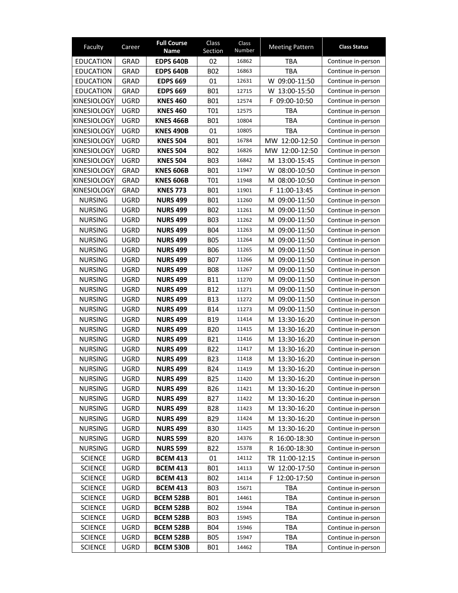| Faculty            | Career      | <b>Full Course</b><br><b>Name</b> | Class<br>Section | Class<br>Number | <b>Meeting Pattern</b> | <b>Class Status</b> |
|--------------------|-------------|-----------------------------------|------------------|-----------------|------------------------|---------------------|
| <b>EDUCATION</b>   | GRAD        | <b>EDPS 640B</b>                  | 02               | 16862           | TBA                    | Continue in-person  |
| EDUCATION          | GRAD        | <b>EDPS 640B</b>                  | <b>B02</b>       | 16863           | TBA                    | Continue in-person  |
| <b>EDUCATION</b>   | GRAD        | <b>EDPS 669</b>                   | 01               | 12631           | W 09:00-11:50          | Continue in-person  |
| <b>EDUCATION</b>   | GRAD        | <b>EDPS 669</b>                   | <b>B01</b>       | 12715           | W 13:00-15:50          | Continue in-person  |
| <b>KINESIOLOGY</b> | <b>UGRD</b> | <b>KNES 460</b>                   | <b>B01</b>       | 12574           | F 09:00-10:50          | Continue in-person  |
| <b>KINESIOLOGY</b> | UGRD        | <b>KNES 460</b>                   | T <sub>01</sub>  | 12575           | <b>TBA</b>             | Continue in-person  |
| <b>KINESIOLOGY</b> | UGRD        | KNES 466B                         | B01              | 10804           | TBA                    | Continue in-person  |
| <b>KINESIOLOGY</b> | <b>UGRD</b> | <b>KNES 490B</b>                  | 01               | 10805           | TBA                    | Continue in-person  |
| <b>KINESIOLOGY</b> | <b>UGRD</b> | <b>KNES 504</b>                   | <b>B01</b>       | 16784           | MW 12:00-12:50         | Continue in-person  |
| <b>KINESIOLOGY</b> | <b>UGRD</b> | <b>KNES 504</b>                   | <b>B02</b>       | 16826           | MW 12:00-12:50         | Continue in-person  |
| <b>KINESIOLOGY</b> | <b>UGRD</b> | <b>KNES 504</b>                   | <b>B03</b>       | 16842           | M 13:00-15:45          | Continue in-person  |
| <b>KINESIOLOGY</b> | GRAD        | KNES 606B                         | <b>B01</b>       | 11947           | W 08:00-10:50          | Continue in-person  |
| <b>KINESIOLOGY</b> | <b>GRAD</b> | <b>KNES 606B</b>                  | T <sub>01</sub>  | 11948           | M 08:00-10:50          | Continue in-person  |
| <b>KINESIOLOGY</b> | GRAD        | <b>KNES 773</b>                   | <b>B01</b>       | 11901           | 11:00-13:45<br>F.      | Continue in-person  |
| NURSING            | UGRD        | <b>NURS 499</b>                   | <b>B01</b>       | 11260           | M 09:00-11:50          | Continue in-person  |
| <b>NURSING</b>     | <b>UGRD</b> | <b>NURS 499</b>                   | <b>B02</b>       | 11261           | M 09:00-11:50          | Continue in-person  |
| NURSING            | UGRD        | <b>NURS 499</b>                   | <b>B03</b>       | 11262           | M 09:00-11:50          | Continue in-person  |
| <b>NURSING</b>     | <b>UGRD</b> | <b>NURS 499</b>                   | <b>B04</b>       | 11263           | M 09:00-11:50          | Continue in-person  |
| <b>NURSING</b>     | <b>UGRD</b> | <b>NURS 499</b>                   | <b>BO5</b>       | 11264           | M 09:00-11:50          | Continue in-person  |
| <b>NURSING</b>     | <b>UGRD</b> | <b>NURS 499</b>                   | <b>B06</b>       | 11265           | M 09:00-11:50          | Continue in-person  |
| <b>NURSING</b>     | UGRD        | <b>NURS 499</b>                   | <b>B07</b>       | 11266           | M 09:00-11:50          | Continue in-person  |
| <b>NURSING</b>     | <b>UGRD</b> | <b>NURS 499</b>                   | <b>B08</b>       | 11267           | M 09:00-11:50          | Continue in-person  |
| <b>NURSING</b>     | <b>UGRD</b> | <b>NURS 499</b>                   | <b>B11</b>       | 11270           | M 09:00-11:50          | Continue in-person  |
| NURSING            | UGRD        | <b>NURS 499</b>                   | <b>B12</b>       | 11271           | 09:00-11:50<br>м       | Continue in-person  |
| NURSING            | UGRD        | <b>NURS 499</b>                   | <b>B13</b>       | 11272           | M 09:00-11:50          | Continue in-person  |
| NURSING            | UGRD        | <b>NURS 499</b>                   | B14              | 11273           | M 09:00-11:50          | Continue in-person  |
| <b>NURSING</b>     | UGRD        | <b>NURS 499</b>                   | B19              | 11414           | M 13:30-16:20          | Continue in-person  |
| <b>NURSING</b>     | <b>UGRD</b> | <b>NURS 499</b>                   | <b>B20</b>       | 11415           | 13:30-16:20<br>м       | Continue in-person  |
| <b>NURSING</b>     | <b>UGRD</b> | <b>NURS 499</b>                   | <b>B21</b>       | 11416           | M 13:30-16:20          | Continue in-person  |
| <b>NURSING</b>     | <b>UGRD</b> | <b>NURS 499</b>                   | <b>B22</b>       | 11417           | M 13:30-16:20          | Continue in-person  |
| NURSING            | UGRD        | <b>NURS 499</b>                   | <b>B23</b>       | 11418           | M 13:30-16:20          | Continue in-person  |
| <b>NURSING</b>     | <b>UGRD</b> | <b>NURS 499</b>                   | <b>B24</b>       | 11419           | M 13:30-16:20          | Continue in-person  |
| <b>NURSING</b>     | UGRD        | <b>NURS 499</b>                   | <b>B25</b>       | 11420           | M 13:30-16:20          | Continue in-person  |
| <b>NURSING</b>     | UGRD        | <b>NURS 499</b>                   | <b>B26</b>       | 11421           | M 13:30-16:20          | Continue in-person  |
| <b>NURSING</b>     | UGRD        | <b>NURS 499</b>                   | B <sub>27</sub>  | 11422           | M 13:30-16:20          | Continue in-person  |
| <b>NURSING</b>     | UGRD        | <b>NURS 499</b>                   | <b>B28</b>       | 11423           | M 13:30-16:20          | Continue in-person  |
| <b>NURSING</b>     | <b>UGRD</b> | <b>NURS 499</b>                   | <b>B29</b>       | 11424           | M 13:30-16:20          | Continue in-person  |
| <b>NURSING</b>     | UGRD        | <b>NURS 499</b>                   | <b>B30</b>       | 11425           | M 13:30-16:20          | Continue in-person  |
| <b>NURSING</b>     | UGRD        | <b>NURS 599</b>                   | B20              | 14376           | R 16:00-18:30          | Continue in-person  |
| <b>NURSING</b>     | UGRD        | <b>NURS 599</b>                   | B22              | 15378           | R 16:00-18:30          | Continue in-person  |
| <b>SCIENCE</b>     | UGRD        | <b>BCEM 413</b>                   | 01               | 14112           | TR 11:00-12:15         | Continue in-person  |
| <b>SCIENCE</b>     | UGRD        | <b>BCEM 413</b>                   | <b>B01</b>       | 14113           | W 12:00-17:50          | Continue in-person  |
| <b>SCIENCE</b>     | UGRD        | <b>BCEM 413</b>                   | <b>B02</b>       | 14114           | F 12:00-17:50          | Continue in-person  |
| <b>SCIENCE</b>     | UGRD        | <b>BCEM 413</b>                   | B03              | 15671           | TBA                    | Continue in-person  |
| <b>SCIENCE</b>     | UGRD        | <b>BCEM 528B</b>                  | <b>B01</b>       | 14461           | TBA                    | Continue in-person  |
| <b>SCIENCE</b>     | UGRD        | <b>BCEM 528B</b>                  | <b>B02</b>       | 15944           | TBA                    | Continue in-person  |
| <b>SCIENCE</b>     | UGRD        | <b>BCEM 528B</b>                  | B03              | 15945           | TBA                    | Continue in-person  |
| <b>SCIENCE</b>     | UGRD        | <b>BCEM 528B</b>                  | <b>B04</b>       | 15946           | TBA                    | Continue in-person  |
| <b>SCIENCE</b>     | UGRD        | <b>BCEM 528B</b>                  | <b>B05</b>       | 15947           | TBA                    | Continue in-person  |
| <b>SCIENCE</b>     | UGRD        | <b>BCEM 530B</b>                  | B01              | 14462           | TBA                    | Continue in-person  |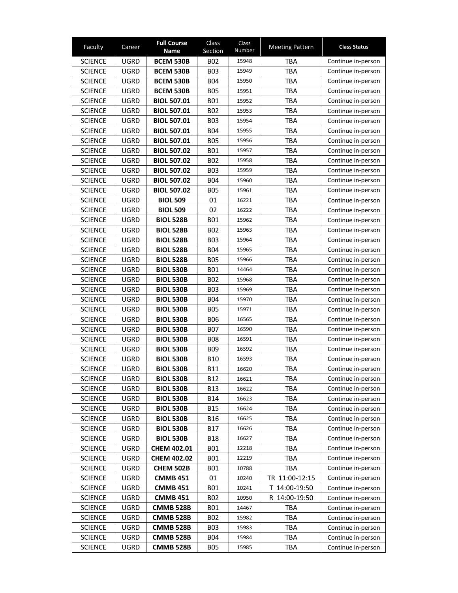| Faculty        | Career      | <b>Full Course</b><br>Name | Class<br>Section | Class<br>Number | <b>Meeting Pattern</b> | <b>Class Status</b> |
|----------------|-------------|----------------------------|------------------|-----------------|------------------------|---------------------|
| <b>SCIENCE</b> | <b>UGRD</b> | <b>BCEM 530B</b>           | <b>B02</b>       | 15948           | TBA                    | Continue in-person  |
| <b>SCIENCE</b> | <b>UGRD</b> | <b>BCEM 530B</b>           | <b>B03</b>       | 15949           | <b>TBA</b>             | Continue in-person  |
| <b>SCIENCE</b> | <b>UGRD</b> | <b>BCEM 530B</b>           | <b>B04</b>       | 15950           | TBA                    | Continue in-person  |
| <b>SCIENCE</b> | <b>UGRD</b> | <b>BCEM 530B</b>           | <b>BO5</b>       | 15951           | <b>TBA</b>             | Continue in-person  |
| <b>SCIENCE</b> | <b>UGRD</b> | <b>BIOL 507.01</b>         | <b>B01</b>       | 15952           | TBA                    | Continue in-person  |
| <b>SCIENCE</b> | UGRD        | <b>BIOL 507.01</b>         | <b>B02</b>       | 15953           | TBA                    | Continue in-person  |
| <b>SCIENCE</b> | UGRD        | <b>BIOL 507.01</b>         | <b>B03</b>       | 15954           | TBA                    | Continue in-person  |
| <b>SCIENCE</b> | <b>UGRD</b> | <b>BIOL 507.01</b>         | <b>B04</b>       | 15955           | TBA                    | Continue in-person  |
| <b>SCIENCE</b> | <b>UGRD</b> | <b>BIOL 507.01</b>         | <b>BO5</b>       | 15956           | <b>TBA</b>             | Continue in-person  |
| <b>SCIENCE</b> | <b>UGRD</b> | <b>BIOL 507.02</b>         | <b>B01</b>       | 15957           | TBA                    | Continue in-person  |
| <b>SCIENCE</b> | UGRD        | <b>BIOL 507.02</b>         | B <sub>02</sub>  | 15958           | TBA                    | Continue in-person  |
| <b>SCIENCE</b> | UGRD        | <b>BIOL 507.02</b>         | B03              | 15959           | TBA                    | Continue in-person  |
| <b>SCIENCE</b> | <b>UGRD</b> | <b>BIOL 507.02</b>         | <b>B04</b>       | 15960           | <b>TBA</b>             | Continue in-person  |
| <b>SCIENCE</b> | UGRD        | <b>BIOL 507.02</b>         | <b>BO5</b>       | 15961           | <b>TBA</b>             | Continue in-person  |
| <b>SCIENCE</b> | <b>UGRD</b> | <b>BIOL 509</b>            | 01               | 16221           | TBA                    | Continue in-person  |
| <b>SCIENCE</b> | UGRD        | <b>BIOL 509</b>            | 02               | 16222           | <b>TBA</b>             | Continue in-person  |
| <b>SCIENCE</b> | UGRD        | <b>BIOL 528B</b>           | B01              | 15962           | <b>TBA</b>             | Continue in-person  |
| <b>SCIENCE</b> | <b>UGRD</b> | <b>BIOL 528B</b>           | <b>B02</b>       | 15963           | <b>TBA</b>             | Continue in-person  |
| <b>SCIENCE</b> | <b>UGRD</b> | <b>BIOL 528B</b>           | <b>B03</b>       | 15964           | <b>TBA</b>             | Continue in-person  |
| <b>SCIENCE</b> | UGRD        | <b>BIOL 528B</b>           | <b>B04</b>       | 15965           | TBA                    | Continue in-person  |
| <b>SCIENCE</b> | UGRD        | <b>BIOL 528B</b>           | <b>BO5</b>       | 15966           | <b>TBA</b>             | Continue in-person  |
| <b>SCIENCE</b> | UGRD        | <b>BIOL 530B</b>           | <b>B01</b>       | 14464           | TBA                    | Continue in-person  |
| <b>SCIENCE</b> | <b>UGRD</b> | <b>BIOL 530B</b>           | <b>B02</b>       | 15968           | <b>TBA</b>             | Continue in-person  |
| <b>SCIENCE</b> | UGRD        | <b>BIOL 530B</b>           | <b>BO3</b>       | 15969           | TBA                    | Continue in-person  |
| <b>SCIENCE</b> | UGRD        | <b>BIOL 530B</b>           | B04              | 15970           | TBA                    | Continue in-person  |
| <b>SCIENCE</b> | UGRD        | <b>BIOL 530B</b>           | <b>BO5</b>       | 15971           | TBA                    | Continue in-person  |
| <b>SCIENCE</b> | <b>UGRD</b> | <b>BIOL 530B</b>           | <b>B06</b>       | 16565           | TBA                    | Continue in-person  |
| <b>SCIENCE</b> | <b>UGRD</b> | <b>BIOL 530B</b>           | <b>B07</b>       | 16590           | <b>TBA</b>             | Continue in-person  |
| <b>SCIENCE</b> | <b>UGRD</b> | <b>BIOL 530B</b>           | <b>B08</b>       | 16591           | TBA                    | Continue in-person  |
| <b>SCIENCE</b> | UGRD        | <b>BIOL 530B</b>           | <b>BO9</b>       | 16592           | TBA                    | Continue in-person  |
| <b>SCIENCE</b> | UGRD        | <b>BIOL 530B</b>           | <b>B10</b>       | 16593           | TBA                    | Continue in-person  |
| <b>SCIENCE</b> | UGRD        | <b>BIOL 530B</b>           | <b>B11</b>       | 16620           | TBA                    | Continue in-person  |
| <b>SCIENCE</b> | UGRD        | <b>BIOL 530B</b>           | <b>B12</b>       | 16621           | TBA                    | Continue in-person  |
| <b>SCIENCE</b> | UGRD        | <b>BIOL 530B</b>           | <b>B13</b>       | 16622           | TBA                    | Continue in-person  |
| <b>SCIENCE</b> | UGRD        | <b>BIOL 530B</b>           | <b>B14</b>       | 16623           | TBA                    | Continue in-person  |
| <b>SCIENCE</b> | UGRD        | <b>BIOL 530B</b>           | B15              | 16624           | TBA                    | Continue in-person  |
| <b>SCIENCE</b> | UGRD        | <b>BIOL 530B</b>           | <b>B16</b>       | 16625           | TBA                    | Continue in-person  |
| <b>SCIENCE</b> | UGRD        | <b>BIOL 530B</b>           | <b>B17</b>       | 16626           | <b>TBA</b>             | Continue in-person  |
| <b>SCIENCE</b> | UGRD        | <b>BIOL 530B</b>           | <b>B18</b>       | 16627           | TBA                    | Continue in-person  |
| <b>SCIENCE</b> | UGRD        | <b>CHEM 402.01</b>         | <b>B01</b>       | 12218           | TBA                    | Continue in-person  |
| <b>SCIENCE</b> | UGRD        | CHEM 402.02                | B01              | 12219           | <b>TBA</b>             | Continue in-person  |
| <b>SCIENCE</b> | UGRD        | <b>CHEM 502B</b>           | <b>B01</b>       | 10788           | TBA                    | Continue in-person  |
| <b>SCIENCE</b> | UGRD        | <b>CMMB 451</b>            | 01               | 10240           | TR 11:00-12:15         | Continue in-person  |
| <b>SCIENCE</b> | UGRD        | <b>CMMB 451</b>            | <b>B01</b>       | 10241           | T 14:00-19:50          | Continue in-person  |
| <b>SCIENCE</b> | UGRD        | <b>CMMB 451</b>            | B02              | 10950           | R 14:00-19:50          | Continue in-person  |
| <b>SCIENCE</b> | UGRD        | <b>CMMB 528B</b>           | <b>B01</b>       | 14467           | TBA                    | Continue in-person  |
| <b>SCIENCE</b> | UGRD        | <b>CMMB 528B</b>           | B02              | 15982           | TBA                    | Continue in-person  |
| <b>SCIENCE</b> | UGRD        | <b>CMMB 528B</b>           | <b>B03</b>       | 15983           | TBA                    | Continue in-person  |
| <b>SCIENCE</b> | UGRD        | <b>CMMB 528B</b>           | <b>B04</b>       | 15984           | TBA                    | Continue in-person  |
| <b>SCIENCE</b> | UGRD        | <b>CMMB 528B</b>           | <b>B05</b>       | 15985           | TBA                    | Continue in-person  |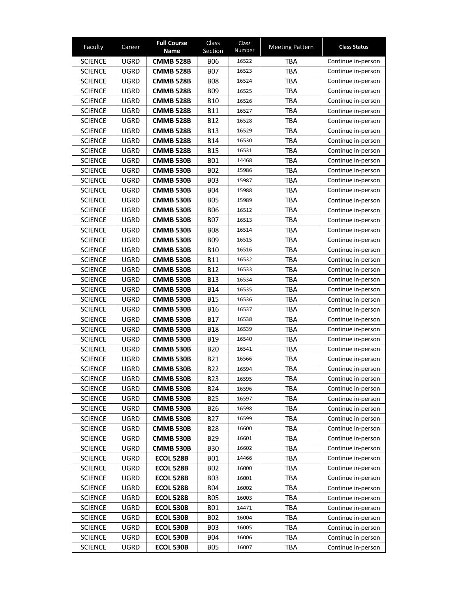| Faculty        | Career      | <b>Full Course</b><br>Name | Class<br>Section | Class<br>Number | <b>Meeting Pattern</b> | <b>Class Status</b> |
|----------------|-------------|----------------------------|------------------|-----------------|------------------------|---------------------|
| <b>SCIENCE</b> | UGRD        | <b>CMMB 528B</b>           | <b>BO6</b>       | 16522           | TBA                    | Continue in-person  |
| <b>SCIENCE</b> | UGRD        | <b>CMMB 528B</b>           | <b>B07</b>       | 16523           | TBA                    | Continue in-person  |
| <b>SCIENCE</b> | <b>UGRD</b> | <b>CMMB 528B</b>           | <b>B08</b>       | 16524           | TBA                    | Continue in-person  |
| <b>SCIENCE</b> | <b>UGRD</b> | <b>CMMB 528B</b>           | <b>BO9</b>       | 16525           | <b>TBA</b>             | Continue in-person  |
| <b>SCIENCE</b> | <b>UGRD</b> | <b>CMMB 528B</b>           | <b>B10</b>       | 16526           | TBA                    | Continue in-person  |
| <b>SCIENCE</b> | UGRD        | <b>CMMB 528B</b>           | <b>B11</b>       | 16527           | <b>TBA</b>             | Continue in-person  |
| <b>SCIENCE</b> | UGRD        | <b>CMMB 528B</b>           | B12              | 16528           | <b>TBA</b>             | Continue in-person  |
| <b>SCIENCE</b> | <b>UGRD</b> | <b>CMMB 528B</b>           | <b>B13</b>       | 16529           | <b>TBA</b>             | Continue in-person  |
| <b>SCIENCE</b> | <b>UGRD</b> | <b>CMMB 528B</b>           | <b>B14</b>       | 16530           | <b>TBA</b>             | Continue in-person  |
| <b>SCIENCE</b> | <b>UGRD</b> | <b>CMMB 528B</b>           | <b>B15</b>       | 16531           | TBA                    | Continue in-person  |
| <b>SCIENCE</b> | UGRD        | <b>CMMB 530B</b>           | <b>B01</b>       | 14468           | <b>TBA</b>             | Continue in-person  |
| <b>SCIENCE</b> | UGRD        | <b>CMMB 530B</b>           | <b>B02</b>       | 15986           | TBA                    | Continue in-person  |
| <b>SCIENCE</b> | <b>UGRD</b> | <b>CMMB 530B</b>           | <b>B03</b>       | 15987           | <b>TBA</b>             | Continue in-person  |
| <b>SCIENCE</b> | UGRD        | <b>CMMB 530B</b>           | B04              | 15988           | TBA                    | Continue in-person  |
| <b>SCIENCE</b> | UGRD        | <b>CMMB 530B</b>           | <b>BO5</b>       | 15989           | TBA                    | Continue in-person  |
| <b>SCIENCE</b> | UGRD        | <b>CMMB 530B</b>           | <b>B06</b>       | 16512           | <b>TBA</b>             | Continue in-person  |
| <b>SCIENCE</b> | UGRD        | <b>CMMB 530B</b>           | <b>B07</b>       | 16513           | TBA                    | Continue in-person  |
| <b>SCIENCE</b> | <b>UGRD</b> | <b>CMMB 530B</b>           | <b>B08</b>       | 16514           | <b>TBA</b>             | Continue in-person  |
| <b>SCIENCE</b> | UGRD        | <b>CMMB 530B</b>           | <b>BO9</b>       | 16515           | TBA                    | Continue in-person  |
| <b>SCIENCE</b> | UGRD        | <b>CMMB 530B</b>           | <b>B10</b>       | 16516           | TBA                    | Continue in-person  |
| <b>SCIENCE</b> | <b>UGRD</b> | <b>CMMB 530B</b>           | <b>B11</b>       | 16532           | <b>TBA</b>             | Continue in-person  |
| <b>SCIENCE</b> | <b>UGRD</b> | <b>CMMB 530B</b>           | <b>B12</b>       | 16533           | <b>TBA</b>             | Continue in-person  |
| <b>SCIENCE</b> | <b>UGRD</b> | <b>CMMB 530B</b>           | <b>B13</b>       | 16534           | <b>TBA</b>             | Continue in-person  |
| <b>SCIENCE</b> | <b>UGRD</b> | <b>CMMB 530B</b>           | <b>B14</b>       | 16535           | TBA                    | Continue in-person  |
| <b>SCIENCE</b> | UGRD        | <b>CMMB 530B</b>           | <b>B15</b>       | 16536           | TBA                    | Continue in-person  |
| <b>SCIENCE</b> | UGRD        | <b>CMMB 530B</b>           | <b>B16</b>       | 16537           | TBA                    | Continue in-person  |
| <b>SCIENCE</b> | UGRD        | <b>CMMB 530B</b>           | <b>B17</b>       | 16538           | TBA                    | Continue in-person  |
| <b>SCIENCE</b> | <b>UGRD</b> | <b>CMMB 530B</b>           | <b>B18</b>       | 16539           | <b>TBA</b>             | Continue in-person  |
| <b>SCIENCE</b> | <b>UGRD</b> | <b>CMMB 530B</b>           | <b>B19</b>       | 16540           | TBA                    | Continue in-person  |
| <b>SCIENCE</b> | UGRD        | <b>CMMB 530B</b>           | <b>B20</b>       | 16541           | TBA                    | Continue in-person  |
| <b>SCIENCE</b> | UGRD        | <b>CMMB 530B</b>           | B <sub>21</sub>  | 16566           | <b>TBA</b>             | Continue in-person  |
| <b>SCIENCE</b> | <b>UGRD</b> | <b>CMMB 530B</b>           | B <sub>22</sub>  | 16594           | TBA                    | Continue in-person  |
| <b>SCIENCE</b> | <b>UGRD</b> | <b>CMMB 530B</b>           | <b>B23</b>       | 16595           | TBA                    | Continue in-person  |
| <b>SCIENCE</b> | UGRD        | <b>CMMB 530B</b>           | <b>B24</b>       | 16596           | TBA                    | Continue in-person  |
| <b>SCIENCE</b> | <b>UGRD</b> | <b>CMMB 530B</b>           | <b>B25</b>       | 16597           | TBA                    | Continue in-person  |
| <b>SCIENCE</b> | UGRD        | <b>CMMB 530B</b>           | <b>B26</b>       | 16598           | TBA                    | Continue in-person  |
| <b>SCIENCE</b> | UGRD        | <b>CMMB 530B</b>           | <b>B27</b>       | 16599           | TBA                    | Continue in-person  |
| <b>SCIENCE</b> | UGRD        | <b>CMMB 530B</b>           | <b>B28</b>       | 16600           | <b>TBA</b>             | Continue in-person  |
| <b>SCIENCE</b> | UGRD        | <b>CMMB 530B</b>           | <b>B29</b>       | 16601           | TBA                    | Continue in-person  |
| <b>SCIENCE</b> | UGRD        | <b>CMMB 530B</b>           | <b>B30</b>       | 16602           | TBA                    | Continue in-person  |
| <b>SCIENCE</b> | UGRD        | ECOL 528B                  | <b>B01</b>       | 14466           | TBA                    | Continue in-person  |
| <b>SCIENCE</b> | UGRD        | ECOL 528B                  | <b>B02</b>       | 16000           | TBA                    | Continue in-person  |
| <b>SCIENCE</b> | UGRD        | ECOL 528B                  | <b>B03</b>       | 16001           | TBA                    | Continue in-person  |
| <b>SCIENCE</b> | UGRD        | ECOL 528B                  | <b>B04</b>       | 16002           | TBA                    | Continue in-person  |
| <b>SCIENCE</b> | UGRD        | ECOL 528B                  | <b>B05</b>       | 16003           | TBA                    | Continue in-person  |
| <b>SCIENCE</b> | UGRD        | ECOL 530B                  | <b>B01</b>       | 14471           | <b>TBA</b>             | Continue in-person  |
| <b>SCIENCE</b> | UGRD        | <b>ECOL 530B</b>           | B <sub>02</sub>  | 16004           | TBA                    | Continue in-person  |
| <b>SCIENCE</b> | UGRD        | ECOL 530B                  | <b>B03</b>       | 16005           | TBA                    | Continue in-person  |
| <b>SCIENCE</b> | UGRD        | ECOL 530B                  | <b>B04</b>       | 16006           | TBA                    | Continue in-person  |
| <b>SCIENCE</b> | UGRD        | ECOL 530B                  | <b>BO5</b>       | 16007           | TBA                    | Continue in-person  |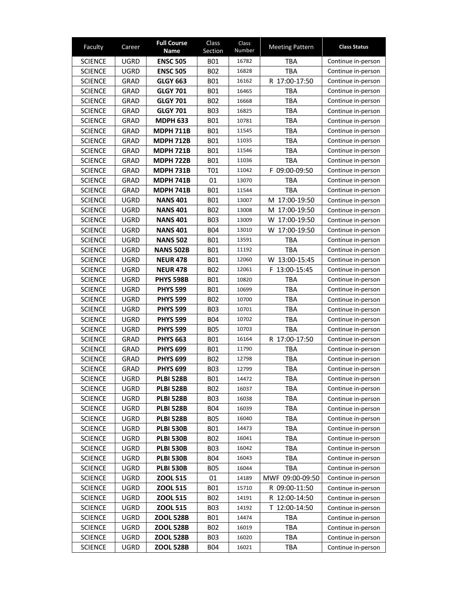| Faculty        | Career      | <b>Full Course</b><br><b>Name</b> | Class<br>Section | Class<br>Number | <b>Meeting Pattern</b> | <b>Class Status</b> |
|----------------|-------------|-----------------------------------|------------------|-----------------|------------------------|---------------------|
| <b>SCIENCE</b> | UGRD        | <b>ENSC 505</b>                   | B01              | 16782           | TBA                    | Continue in-person  |
| <b>SCIENCE</b> | UGRD        | <b>ENSC 505</b>                   | <b>B02</b>       | 16828           | <b>TBA</b>             | Continue in-person  |
| <b>SCIENCE</b> | GRAD        | <b>GLGY 663</b>                   | <b>B01</b>       | 16162           | R 17:00-17:50          | Continue in-person  |
| <b>SCIENCE</b> | <b>GRAD</b> | <b>GLGY 701</b>                   | <b>B01</b>       | 16465           | <b>TBA</b>             | Continue in-person  |
| <b>SCIENCE</b> | GRAD        | <b>GLGY 701</b>                   | <b>B02</b>       | 16668           | TBA                    | Continue in-person  |
| <b>SCIENCE</b> | GRAD        | <b>GLGY 701</b>                   | <b>B03</b>       | 16825           | <b>TBA</b>             | Continue in-person  |
| <b>SCIENCE</b> | GRAD        | MDPH 633                          | B01              | 10781           | <b>TBA</b>             | Continue in-person  |
| <b>SCIENCE</b> | <b>GRAD</b> | <b>MDPH 711B</b>                  | <b>B01</b>       | 11545           | <b>TBA</b>             | Continue in-person  |
| <b>SCIENCE</b> | <b>GRAD</b> | <b>MDPH 712B</b>                  | <b>B01</b>       | 11035           | <b>TBA</b>             | Continue in-person  |
| <b>SCIENCE</b> | GRAD        | <b>MDPH 721B</b>                  | <b>B01</b>       | 11546           | TBA                    | Continue in-person  |
| <b>SCIENCE</b> | GRAD        | <b>MDPH 722B</b>                  | <b>B01</b>       | 11036           | <b>TBA</b>             | Continue in-person  |
| <b>SCIENCE</b> | GRAD        | <b>MDPH 731B</b>                  | T01              | 11042           | F 09:00-09:50          | Continue in-person  |
| <b>SCIENCE</b> | <b>GRAD</b> | <b>MDPH 741B</b>                  | 01               | 13070           | <b>TBA</b>             | Continue in-person  |
| <b>SCIENCE</b> | GRAD        | <b>MDPH 741B</b>                  | <b>B01</b>       | 11544           | <b>TBA</b>             | Continue in-person  |
| <b>SCIENCE</b> | UGRD        | <b>NANS 401</b>                   | <b>B01</b>       | 13007           | M 17:00-19:50          | Continue in-person  |
| <b>SCIENCE</b> | UGRD        | <b>NANS 401</b>                   | <b>B02</b>       | 13008           | M 17:00-19:50          | Continue in-person  |
| <b>SCIENCE</b> | UGRD        | <b>NANS 401</b>                   | <b>B03</b>       | 13009           | W 17:00-19:50          | Continue in-person  |
| <b>SCIENCE</b> | <b>UGRD</b> | <b>NANS 401</b>                   | <b>B04</b>       | 13010           | W 17:00-19:50          | Continue in-person  |
| <b>SCIENCE</b> | UGRD        | <b>NANS 502</b>                   | <b>B01</b>       | 13591           | TBA                    | Continue in-person  |
| <b>SCIENCE</b> | UGRD        | <b>NANS 502B</b>                  | <b>B01</b>       | 11192           | <b>TBA</b>             | Continue in-person  |
| <b>SCIENCE</b> | UGRD        | <b>NEUR 478</b>                   | <b>B01</b>       | 12060           | W 13:00-15:45          | Continue in-person  |
| <b>SCIENCE</b> | <b>UGRD</b> | <b>NEUR 478</b>                   | <b>B02</b>       | 12061           | F 13:00-15:45          | Continue in-person  |
| <b>SCIENCE</b> | <b>UGRD</b> | <b>PHYS 598B</b>                  | <b>B01</b>       | 10820           | <b>TBA</b>             | Continue in-person  |
| <b>SCIENCE</b> | UGRD        | <b>PHYS 599</b>                   | <b>B01</b>       | 10699           | <b>TBA</b>             | Continue in-person  |
| <b>SCIENCE</b> | UGRD        | <b>PHYS 599</b>                   | <b>B02</b>       | 10700           | <b>TBA</b>             | Continue in-person  |
| <b>SCIENCE</b> | UGRD        | <b>PHYS 599</b>                   | <b>B03</b>       | 10701           | <b>TBA</b>             | Continue in-person  |
| <b>SCIENCE</b> | UGRD        | <b>PHYS 599</b>                   | <b>B04</b>       | 10702           | TBA                    | Continue in-person  |
| <b>SCIENCE</b> | UGRD        | <b>PHYS 599</b>                   | <b>B05</b>       | 10703           | <b>TBA</b>             | Continue in-person  |
| <b>SCIENCE</b> | GRAD        | <b>PHYS 663</b>                   | <b>B01</b>       | 16164           | R 17:00-17:50          | Continue in-person  |
| <b>SCIENCE</b> | GRAD        | <b>PHYS 699</b>                   | <b>B01</b>       | 11790           | <b>TBA</b>             | Continue in-person  |
| <b>SCIENCE</b> | GRAD        | <b>PHYS 699</b>                   | <b>B02</b>       | 12798           | <b>TBA</b>             | Continue in-person  |
| <b>SCIENCE</b> | GRAD        | <b>PHYS 699</b>                   | <b>B03</b>       | 12799           | TBA                    | Continue in-person  |
| <b>SCIENCE</b> | <b>UGRD</b> | <b>PLBI 528B</b>                  | <b>B01</b>       | 14472           | TBA                    | Continue in-person  |
| <b>SCIENCE</b> | UGRD        | <b>PLBI 528B</b>                  | <b>B02</b>       | 16037           | TBA                    | Continue in-person  |
| <b>SCIENCE</b> | UGRD        | <b>PLBI 528B</b>                  | <b>B03</b>       | 16038           | TBA                    | Continue in-person  |
| <b>SCIENCE</b> | UGRD        | <b>PLBI 528B</b>                  | <b>B04</b>       | 16039           | TBA                    | Continue in-person  |
| <b>SCIENCE</b> | UGRD        | <b>PLBI 528B</b>                  | <b>B05</b>       | 16040           | TBA                    | Continue in-person  |
| <b>SCIENCE</b> | UGRD        | <b>PLBI 530B</b>                  | <b>B01</b>       | 14473           | TBA                    | Continue in-person  |
| <b>SCIENCE</b> | <b>UGRD</b> | <b>PLBI 530B</b>                  | B02              | 16041           | TBA                    | Continue in-person  |
| <b>SCIENCE</b> | UGRD        | <b>PLBI 530B</b>                  | <b>B03</b>       | 16042           | TBA                    | Continue in-person  |
| <b>SCIENCE</b> | UGRD        | <b>PLBI 530B</b>                  | <b>B04</b>       | 16043           | <b>TBA</b>             | Continue in-person  |
| <b>SCIENCE</b> | UGRD        | <b>PLBI 530B</b>                  | <b>BO5</b>       | 16044           | TBA                    | Continue in-person  |
| <b>SCIENCE</b> | UGRD        | ZOOL 515                          | 01               | 14189           | MWF 09:00-09:50        | Continue in-person  |
| <b>SCIENCE</b> | UGRD        | <b>ZOOL 515</b>                   | <b>B01</b>       | 15710           | R 09:00-11:50          | Continue in-person  |
| <b>SCIENCE</b> | UGRD        | <b>ZOOL 515</b>                   | <b>B02</b>       | 14191           | R 12:00-14:50          | Continue in-person  |
| <b>SCIENCE</b> | UGRD        | ZOOL 515                          | <b>B03</b>       | 14192           | T 12:00-14:50          | Continue in-person  |
| <b>SCIENCE</b> | UGRD        | <b>ZOOL 528B</b>                  | B01              | 14474           | TBA                    | Continue in-person  |
| <b>SCIENCE</b> | UGRD        | <b>ZOOL 528B</b>                  | B02              | 16019           | <b>TBA</b>             | Continue in-person  |
| <b>SCIENCE</b> | UGRD        | <b>ZOOL 528B</b>                  | B03              | 16020           | TBA                    | Continue in-person  |
| <b>SCIENCE</b> | UGRD        | <b>ZOOL 528B</b>                  | B04              | 16021           | TBA                    | Continue in-person  |